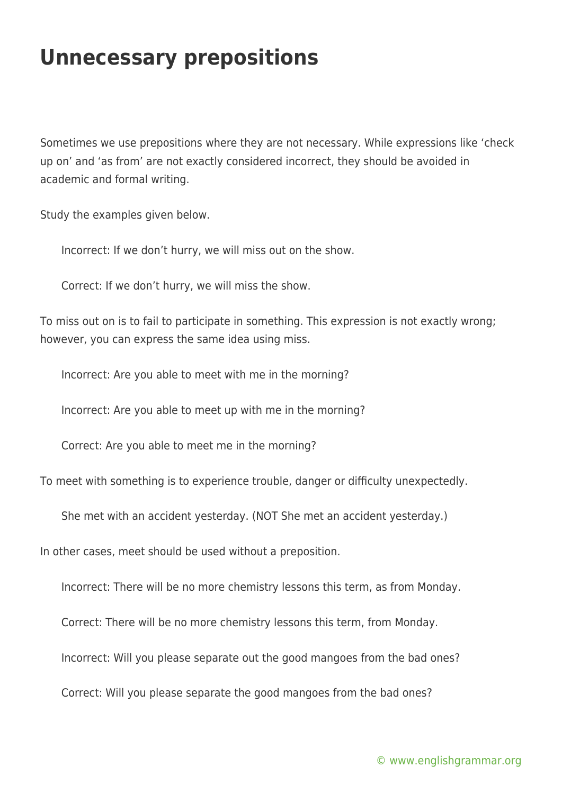## **Unnecessary prepositions**

Sometimes we use prepositions where they are not necessary. While expressions like 'check up on' and 'as from' are not exactly considered incorrect, they should be avoided in academic and formal writing.

Study the examples given below.

Incorrect: If we don't hurry, we will miss out on the show.

Correct: If we don't hurry, we will miss the show.

To miss out on is to fail to participate in something. This expression is not exactly wrong; however, you can express the same idea using miss.

Incorrect: Are you able to meet with me in the morning?

Incorrect: Are you able to meet up with me in the morning?

Correct: Are you able to meet me in the morning?

To meet with something is to experience trouble, danger or difficulty unexpectedly.

She met with an accident yesterday. (NOT She met an accident yesterday.)

In other cases, meet should be used without a preposition.

Incorrect: There will be no more chemistry lessons this term, as from Monday.

Correct: There will be no more chemistry lessons this term, from Monday.

Incorrect: Will you please separate out the good mangoes from the bad ones?

Correct: Will you please separate the good mangoes from the bad ones?